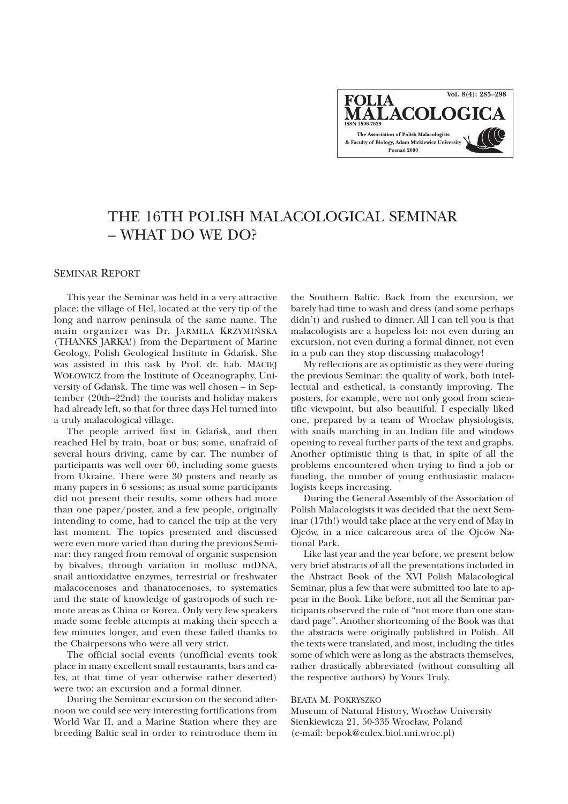**Vol. 8(4): 285–298FOLIA ALACOLOGI** The Association of Polish Malacologists & Faculty of Biology, Adam Mickiewicz University Poznań 2000

# THE 16TH POLISH MALACOLOGICAL SEMINAR – WHAT DO WE DO?

### SEMINAR REPORT

This year the Seminar was held in a very attractive place: the village of Hel, located at the very tip of the long and narrow peninsula of the same name. The main organizer was Dr. JARMILA KRZYMIÑSKA (THANKS JARKA!) from the Department of Marine Geology, Polish Geological Institute in Gdañsk. She was assisted in this task by Prof. dr. hab. MACIEJ WO£OWICZ from the Institute of Oceanography, University of Gdañsk. The time was well chosen – in September (20th–22nd) the tourists and holiday makers had already left, so that for three days Hel turned into a truly malacological village.

The people arrived first in Gdañsk, and then reached Hel by train, boat or bus; some, unafraid of several hours driving, came by car. The number of participants was well over 60, including some guests from Ukraine. There were 30 posters and nearly as many papers in 6 sessions; as usual some participants did not present their results, some others had more than one paper/poster, and a few people, originally intending to come, had to cancel the trip at the very last moment. The topics presented and discussed were even more varied than during the previous Seminar: they ranged from removal of organic suspension by bivalves, through variation in mollusc mtDNA, snail antioxidative enzymes, terrestrial or freshwater malacocenoses and thanatocenoses, to systematics and the state of knowledge of gastropods of such remote areas as China or Korea. Only very few speakers made some feeble attempts at making their speech a few minutes longer, and even these failed thanks to the Chairpersons who were all very strict.

The official social events (unofficial events took place in many excellent small restaurants, bars and cafes, at that time of year otherwise rather deserted) were two: an excursion and a formal dinner.

During the Seminar excursion on the second afternoon we could see very interesting fortifications from World War II, and a Marine Station where they are breeding Baltic seal in order to reintroduce them in

the Southern Baltic. Back from the excursion, we barely had time to wash and dress (and some perhaps didn't) and rushed to dinner. All I can tell you is that malacologists are a hopeless lot: not even during an excursion, not even during a formal dinner, not even in a pub can they stop discussing malacology!

My reflections are as optimistic as they were during the previous Seminar: the quality of work, both intellectual and esthetical, is constantly improving. The posters, for example, were not only good from scientific viewpoint, but also beautiful. I especially liked one, prepared by a team of Wrocław physiologists, with snails marching in an Indian file and windows opening to reveal further parts of the text and graphs. Another optimistic thing is that, in spite of all the problems encountered when trying to find a job or funding, the number of young enthusiastic malacologists keeps increasing.

During the General Assembly of the Association of Polish Malacologists it was decided that the next Seminar (17th!) would take place at the very end of May in Ojców, in a nice calcareous area of the Ojców National Park.

Like last year and the year before, we present below very brief abstracts of all the presentations included in the Abstract Book of the XVI Polish Malacological Seminar, plus a few that were submitted too late to appear in the Book. Like before, not all the Seminar participants observed the rule of "not more than one standard page". Another shortcoming of the Book was that the abstracts were originally published in Polish. All the texts were translated, and most, including the titles some of which were as long as the abstracts themselves, rather drastically abbreviated (without consulting all the respective authors) by Yours Truly.

#### BEATA M. POKRYSZKO

Museum of Natural History, Wrocław University Sienkiewicza 21, 50-335 Wrocław, Poland (e-mail: bepok@culex.biol.uni.wroc.pl)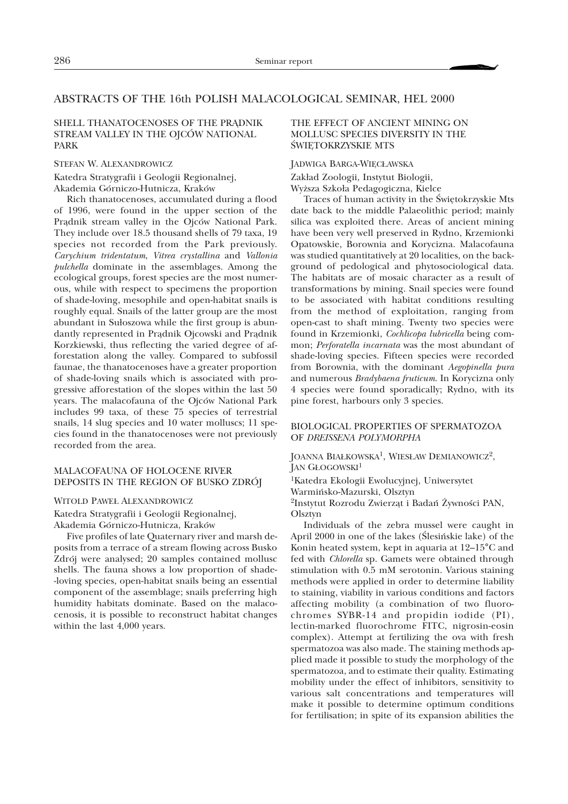# ABSTRACTS OF THE 16th POLISH MALACOLOGICAL SEMINAR, HEL 2000

# SHELL THANATOCENOSES OF THE PRADNIK STREAM VALLEY IN THE OJCÓW NATIONAL PARK

### STEFAN W. ALEXANDROWICZ

Katedra Stratygrafii i Geologii Regionalnej, Akademia Górniczo-Hutnicza, Kraków

Rich thanatocenoses, accumulated during a flood of 1996, were found in the upper section of the Prądnik stream valley in the Ojców National Park. They include over 18.5 thousand shells of 79 taxa, 19 species not recorded from the Park previously. *Carychium tridentatum*, *Vitrea crystallina* and *Vallonia pulchella* dominate in the assemblages. Among the ecological groups, forest species are the most numerous, while with respect to specimens the proportion of shade-loving, mesophile and open-habitat snails is roughly equal. Snails of the latter group are the most abundant in Sułoszowa while the first group is abundantly represented in Prądnik Ojcowski and Prądnik Korzkiewski, thus reflecting the varied degree of afforestation along the valley. Compared to subfossil faunae, the thanatocenoses have a greater proportion of shade-loving snails which is associated with progressive afforestation of the slopes within the last 50 years. The malacofauna of the Ojców National Park includes 99 taxa, of these 75 species of terrestrial snails, 14 slug species and 10 water molluscs; 11 species found in the thanatocenoses were not previously recorded from the area.

### MALACOFAUNA OF HOLOCENE RIVER DEPOSITS IN THE REGION OF BUSKO ZDRÓJ

#### WITOLD PAWE£ ALEXANDROWICZ

Katedra Stratygrafii i Geologii Regionalnej, Akademia Górniczo-Hutnicza, Kraków

Five profiles of late Quaternary river and marsh deposits from a terrace of a stream flowing across Busko Zdrój were analysed; 20 samples contained mollusc shells. The fauna shows a low proportion of shade- -loving species, open-habitat snails being an essential component of the assemblage; snails preferring high humidity habitats dominate. Based on the malacocenosis, it is possible to reconstruct habitat changes within the last 4,000 years.

# THE EFFECT OF ANCIENT MINING ON MOLLUSC SPECIES DIVERSITY IN THE ŚWIĘTOKRZYSKIE MTS

### JADWIGA BARGA-WIECŁAWSKA

Zakład Zoologii, Instytut Biologii, Wyższa Szkoła Pedagogiczna, Kielce

Traces of human activity in the Świętokrzyskie Mts date back to the middle Palaeolithic period; mainly silica was exploited there. Areas of ancient mining have been very well preserved in Rydno, Krzemionki Opatowskie, Borownia and Korycizna. Malacofauna was studied quantitatively at 20 localities, on the background of pedological and phytosociological data. The habitats are of mosaic character as a result of transformations by mining. Snail species were found to be associated with habitat conditions resulting from the method of exploitation, ranging from open-cast to shaft mining. Twenty two species were found in Krzemionki, *Cochlicopa lubricella* being common; *Perforatella incarnata* was the most abundant of shade-loving species. Fifteen species were recorded from Borownia, with the dominant *Aegopinella pura* and numerous *Bradybaena fruticum*. In Korycizna only 4 species were found sporadically; Rydno, with its pine forest, harbours only 3 species.

# BIOLOGICAL PROPERTIES OF SPERMATOZOA OF *DREISSENA POLYMORPHA*

JOANNA BIAŁKOWSKA<sup>1</sup>, WIESŁAW DEMIANOWICZ<sup>2</sup>, JAN GŁOGOWSKI<sup>1</sup>

1Katedra Ekologii Ewolucyjnej, Uniwersytet Warmiñsko-Mazurski, Olsztyn <sup>2</sup>Instytut Rozrodu Zwierząt i Badań Żywności PAN, Olsztyn

Individuals of the zebra mussel were caught in April 2000 in one of the lakes (Ślesińskie lake) of the Konin heated system, kept in aquaria at 12–15°C and fed with *Chlorella* sp. Gamets were obtained through stimulation with 0.5 mM serotonin. Various staining methods were applied in order to determine liability to staining, viability in various conditions and factors affecting mobility (a combination of two fluorochromes SYBR-14 and propidin iodide (PI), lectin-marked fluorochrome FITC, nigrosin-eosin complex). Attempt at fertilizing the ova with fresh spermatozoa was also made. The staining methods applied made it possible to study the morphology of the spermatozoa, and to estimate their quality. Estimating mobility under the effect of inhibitors, sensitivity to various salt concentrations and temperatures will make it possible to determine optimum conditions for fertilisation; in spite of its expansion abilities the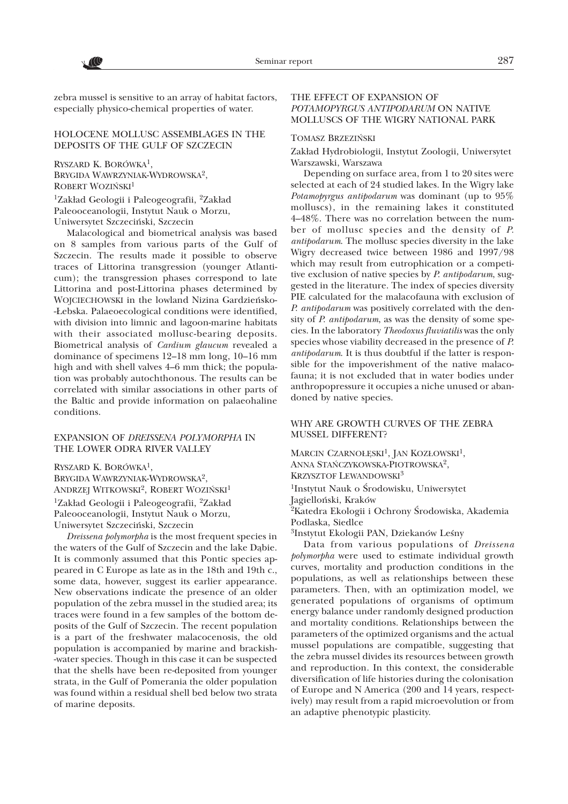**CC** 

zebra mussel is sensitive to an array of habitat factors, especially physico-chemical properties of water.

### HOLOCENE MOLLUSC ASSEMBLAGES IN THE DEPOSITS OF THE GULF OF SZCZECIN

RYSZARD K. BORÓWKA1, BRYGIDA WAWRZYNIAK-WYDROWSKA2, ROBERT WOZIŃSKI<sup>1</sup> <sup>1</sup>Zakład Geologii i Paleogeografii, <sup>2</sup>Zakład Paleooceanologii, Instytut Nauk o Morzu, Uniwersytet Szczeciñski, Szczecin

Malacological and biometrical analysis was based on 8 samples from various parts of the Gulf of Szczecin. The results made it possible to observe traces of Littorina transgression (younger Atlanticum); the transgression phases correspond to late Littorina and post-Littorina phases determined by WOJCIECHOWSKI in the lowland Nizina Gardzieñsko- -£ebska. Palaeoecological conditions were identified, with division into limnic and lagoon-marine habitats with their associated mollusc-bearing deposits. Biometrical analysis of *Cardium glaucum* revealed a dominance of specimens 12–18 mm long, 10–16 mm high and with shell valves 4–6 mm thick; the population was probably autochthonous. The results can be correlated with similar associations in other parts of the Baltic and provide information on palaeohaline conditions.

### EXPANSION OF *DREISSENA POLYMORPHA* IN THE LOWER ODRA RIVER VALLEY

RYSZARD K. BORÓWKA1, BRYGIDA WAWRZYNIAK-WYDROWSKA2, ANDRZEJ WITKOWSKI<sup>2</sup>, ROBERT WOZIŃSKI<sup>1</sup> <sup>1</sup>Zakład Geologii i Paleogeografii, <sup>2</sup>Zakład Paleooceanologii, Instytut Nauk o Morzu, Uniwersytet Szczeciñski, Szczecin

*Dreissena polymorpha* is the most frequent species in the waters of the Gulf of Szczecin and the lake Dąbie. It is commonly assumed that this Pontic species appeared in C Europe as late as in the 18th and 19th c., some data, however, suggest its earlier appearance. New observations indicate the presence of an older population of the zebra mussel in the studied area; its traces were found in a few samples of the bottom deposits of the Gulf of Szczecin. The recent population is a part of the freshwater malacocenosis, the old population is accompanied by marine and brackish- -water species. Though in this case it can be suspected that the shells have been re-deposited from younger strata, in the Gulf of Pomerania the older population was found within a residual shell bed below two strata of marine deposits.

# THE EFFECT OF EXPANSION OF *POTAMOPYRGUS ANTIPODARUM* ON NATIVE MOLLUSCS OF THE WIGRY NATIONAL PARK

#### TOMASZ BRZEZIÑSKI

Zakład Hydrobiologii, Instytut Zoologii, Uniwersytet Warszawski, Warszawa

Depending on surface area, from 1 to 20 sites were selected at each of 24 studied lakes. In the Wigry lake *Potamopyrgus antipodarum* was dominant (up to 95% molluscs), in the remaining lakes it constituted 4–48%. There was no correlation between the number of mollusc species and the density of *P. antipodarum*. The mollusc species diversity in the lake Wigry decreased twice between 1986 and 1997/98 which may result from eutrophication or a competitive exclusion of native species by *P. antipodarum*, suggested in the literature. The index of species diversity PIE calculated for the malacofauna with exclusion of *P. antipodarum* was positively correlated with the density of *P. antipodarum*, as was the density of some species. In the laboratory *Theodoxus fluviatilis* was the only species whose viability decreased in the presence of *P. antipodarum*. It is thus doubtful if the latter is responsible for the impoverishment of the native malacofauna; it is not excluded that in water bodies under anthropopressure it occupies a niche unused or abandoned by native species.

# WHY ARE GROWTH CURVES OF THE ZEBRA MUSSEL DIFFERENT?

MARCIN CZARNOŁĘSKI<sup>1</sup>, JAN KOZŁOWSKI<sup>1</sup>, ANNA STAÑCZYKOWSKA-PIOTROWSKA2, KRZYSZTOF LEWANDOWSKI3 <sup>1</sup>Instytut Nauk o Środowisku, Uniwersytet Jagielloñski, Kraków

<sup>2</sup>Katedra Ekologii i Ochrony Środowiska, Akademia Podlaska, Siedlce

<sup>3</sup>Instytut Ekologii PAN, Dziekanów Leśny

Data from various populations of *Dreissena* polymorpha were used to estimate individual growth curves, mortality and production conditions in the populations, as well as relationships between these parameters. Then, with an optimization model, we generated populations of organisms of optimum energy balance under randomly designed production and mortality conditions. Relationships between the parameters of the optimized organisms and the actual mussel populations are compatible, suggesting that the zebra mussel divides its resources between growth and reproduction. In this context, the considerable diversification of life histories during the colonisation of Europe and N America (200 and 14 years, respectively) may result from a rapid microevolution or from an adaptive phenotypic plasticity.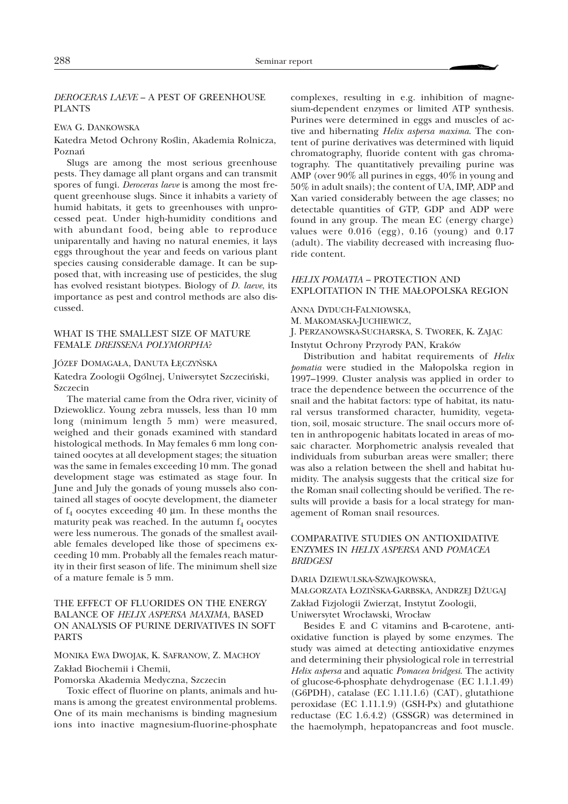# *DEROCERAS LAEVE* – A PEST OF GREENHOUSE PLANTS

#### EWA G. DANKOWSKA

Katedra Metod Ochrony Roślin, Akademia Rolnicza, Poznañ

Slugs are among the most serious greenhouse pests. They damage all plant organs and can transmit spores of fungi. *Deroceras laeve* is among the most frequent greenhouse slugs. Since it inhabits a variety of humid habitats, it gets to greenhouses with unprocessed peat. Under high-humidity conditions and with abundant food, being able to reproduce uniparentally and having no natural enemies, it lays eggs throughout the year and feeds on various plant species causing considerable damage. It can be supposed that, with increasing use of pesticides, the slug has evolved resistant biotypes. Biology of *D. laeve*, its importance as pest and control methods are also discussed.

#### WHAT IS THE SMALLEST SIZE OF MATURE FEMALE *DREISSENA POLYMORPHA*?

#### JÓZEF DOMAGA£A, DANUTA £ÊCZYÑSKA

Katedra Zoologii Ogólnej, Uniwersytet Szczeciñski, Szczecin

The material came from the Odra river, vicinity of Dziewoklicz. Young zebra mussels, less than 10 mm long (minimum length 5 mm) were measured, weighed and their gonads examined with standard histological methods. In May females 6 mm long contained oocytes at all development stages; the situation was the same in females exceeding 10 mm. The gonad development stage was estimated as stage four. In June and July the gonads of young mussels also contained all stages of oocyte development, the diameter of  $f_4$  oocytes exceeding 40  $\mu$ m. In these months the maturity peak was reached. In the autumn  $f_4$  oocytes were less numerous. The gonads of the smallest available females developed like those of specimens exceeding 10 mm. Probably all the females reach maturity in their first season of life. The minimum shell size of a mature female is 5 mm.

# THE EFFECT OF FLUORIDES ON THE ENERGY BALANCE OF *HELIX ASPERSA MAXIMA*, BASED ON ANALYSIS OF PURINE DERIVATIVES IN SOFT PARTS

# MONIKA EWA DWOJAK, K. SAFRANOW, Z. MACHOY Zakład Biochemii i Chemii,

Pomorska Akademia Medyczna, Szczecin

Toxic effect of fluorine on plants, animals and humans is among the greatest environmental problems. One of its main mechanisms is binding magnesium ions into inactive magnesium-fluorine-phosphate

complexes, resulting in e.g. inhibition of magnesium-dependent enzymes or limited ATP synthesis. Purines were determined in eggs and muscles of active and hibernating *Helix aspersa maxima*. The content of purine derivatives was determined with liquid chromatography, fluoride content with gas chromatography. The quantitatively prevailing purine was AMP (over 90% all purines in eggs, 40% in young and 50% in adult snails); the content of UA, IMP, ADP and Xan varied considerably between the age classes; no detectable quantities of GTP, GDP and ADP were found in any group. The mean EC (energy charge) values were 0.016 (egg), 0.16 (young) and 0.17 (adult). The viability decreased with increasing fluoride content.

# *HELIX POMATIA* – PROTECTION AND EXPLOITATION IN THE MA£OPOLSKA REGION

ANNA DYDUCH-FALNIOWSKA,

M. MAKOMASKA-JUCHIEWICZ,

J. PERZANOWSKA-SUCHARSKA, S. TWOREK, K. ZAJĄC

Instytut Ochrony Przyrody PAN, Kraków

Distribution and habitat requirements of *Helix pomatia* were studied in the Małopolska region in 1997–1999. Cluster analysis was applied in order to trace the dependence between the occurrence of the snailand the habitat factors: type of habitat, its natural versus transformed character, humidity, vegetation, soil, mosaic structure. The snail occurs more often in anthropogenic habitats located in areas of mosaic character. Morphometric analysis revealed that individuals from suburban areas were smaller; there was also a relation between the shell and habitat humidity. The analysis suggests that the critical size for the Roman snail collecting should be verified. The results will provide a basis for a local strategy for management of Roman snail resources.

# COMPARATIVE STUDIES ON ANTIOXIDATIVE ENZYMES IN *HELIX ASPERSA* AND *POMACEA BRIDGESI*

DARIA DZIEWULSKA-SZWAJKOWSKA, MAŁGORZATA ŁOZIŃSKA-GARBSKA, ANDRZEJ DŻUGAJ Zakład Fizjologii Zwierząt, Instytut Zoologii, Uniwersytet Wroc³awski, Wroc³aw

Besides E and C vitamins and B-carotene, antioxidative function is played by some enzymes. The study was aimed at detecting antioxidative enzymes and determining their physiological role in terrestrial *Helix aspersa* and aquatic *Pomacea bridgesi*. The activity of glucose-6-phosphate dehydrogenase (EC 1.1.1.49) (G6PDH), catalase (EC 1.11.1.6) (CAT), glutathione peroxidase (EC 1.11.1.9) (GSH-Px) and glutathione reductase (EC 1.6.4.2) (GSSGR) was determined in the haemolymph, hepatopancreas and foot muscle.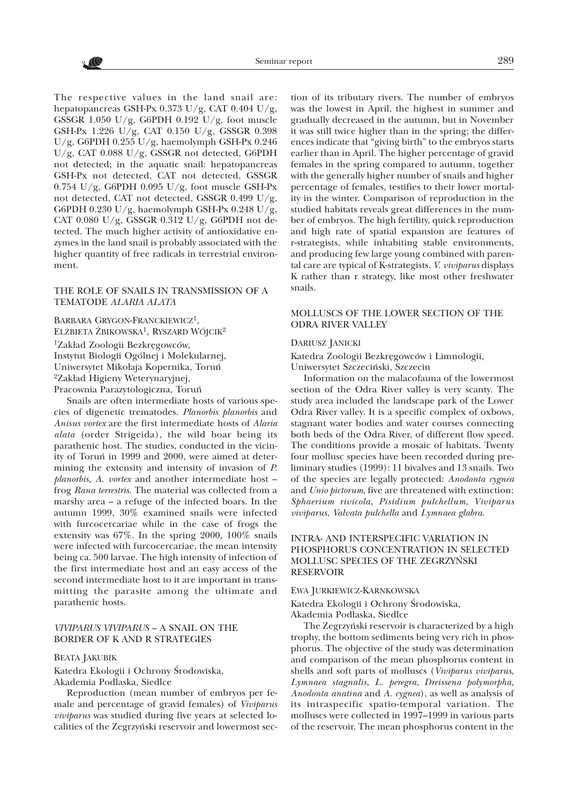The respective values in the land snail are: hepatopancreas GSH-Px 0.373 U/g, CAT 0.404 U/g, GSSGR 1.050 U/g, G6PDH 0.192 U/g, foot muscle GSH-Px 1.226 U/g, CAT 0.150 U/g, GSSGR 0.398 U/g, G6PDH 0.255 U/g, haemolymph GSH-Px 0.246 U/g, CAT 0.088 U/g, GSSGR not detected, G6PDH not detected; in the aquatic snail: hepatopancreas GSH-Px not detected, CAT not detected, GSSGR  $0.754$  U/g, G6PDH 0.095 U/g, foot muscle GSH-Px not detected, CAT not detected, GSSGR 0.499 U/g, G6PDH 0.230 U/g, haemolymph GSH-Px 0.248 U/g, CAT 0.080 U/g, GSSGR 0.312 U/g, G6PDH not detected. The much higher activity of antioxidative enzymes in the land snail is probably associated with the higher quantity of free radicals in terrestrial environment.

#### THE ROLE OF SNAILS IN TRANSMISSION OF A TEMATODE *ALARIA ALATA*

BARBARA GRYGON-FRANCKIEWICZ<sup>1</sup>, ELŻBIETA ŻBIKOWSKA<sup>1</sup>, RYSZARD WÓJCIK<sup>2</sup> <sup>1</sup>Zakład Zoologii Bezkręgowców, Instytut Biologii Ogólnej i Molekularnej, Uniwersytet Mikołaja Kopernika, Toruń <sup>2</sup>Zakład Higieny Weterynaryjnej, Pracownia Parazytologiczna, Toruñ

Snails are often intermediate hosts of various species of digenetic trematodes. *Planorbis planorbis* and *Anisus vortex* are the first intermediate hosts of *Alaria alata* (order Strigeida), the wild boar being its parathenic host. The studies, conducted in the vicinity of Toruñ in 1999 and 2000, were aimed at determining the extensity and intensity of invasion of *P. planorbis, A. vortex* and another intermediate host – frog *Rana terrestris*. The material was collected from a marshy area – a refuge of the infected boars. In the autumn 1999, 30% examined snails were infected with furcocercariae while in the case of frogs the extensity was 67%. In the spring 2000, 100% snails were infected with furcocercariae, the mean intensity being ca. 500 larvae. The high intensity of infection of the first intermediate host and an easy access of the second intermediate host to it are important in transmitting the parasite among the ultimate and parathenic hosts.

## *VIVIPARUS VIVIPARUS* – A SNAIL ON THE BORDER OF K AND R STRATEGIES

# BEATA JAKUBIK

Katedra Ekologii i Ochrony Środowiska, Akademia Podlaska, Siedlce

Reproduction (mean number of embryos per female and percentage of gravid females) of *Viviparus viviparus* was studied during five years at selected localities of the Zegrzyñski reservoir and lowermost sec-

tion of its tributary rivers. The number of embryos was the lowest in April, the highest in summer and gradually decreased in the autumn, but in November it was still twice higher than in the spring; the differences indicate that "giving birth" to the embryos starts earlier than in April. The higher percentage of gravid females in the spring compared to autumn, together with the generally higher number of snails and higher percentage of females, testifies to their lower mortality in the winter. Comparison of reproduction in the studied habitats reveals great differences in the number of embryos. The high fertility, quick reproduction and high rate of spatial expansion are features of r-strategists, while inhabiting stable environments, and producing few large young combined with parental care are typical of K-strategists. *V. viviparus* displays K rather than r strategy, like most other freshwater snails.

# MOLLUSCS OF THE LOWER SECTION OF THE ODRA RIVER VALLEY

#### DARIUSZ JANICKI

Katedra Zoologii Bezkrêgowców i Limnologii, Uniwersytet Szczeciñski, Szczecin

Information on the malacofauna of the lowermost section of the Odra River valley is very scanty. The study area included the landscape park of the Lower Odra River valley. It is a specific complex of oxbows, stagnant water bodies and water courses connecting both beds of the Odra River, of different flow speed. The conditions provide a mosaic of habitats. Twenty four mollusc species have been recorded during preliminary studies (1999): 11 bivalves and 13 snails. Two of the species are legally protected: *Anodonta cygnea* and *Unio pictorum*, five are threatened with extinction: *Sphaerium rivicola*, *Pisidium pulchellum*, *Viviparus viviparus*, *Valvata pulchella* and *Lymnaea glabra*.

# INTRA- AND INTERSPECIFIC VARIATION IN PHOSPHORUS CONCENTRATION IN SELECTED MOLLUSC SPECIES OF THE ZEGRZYÑSKI RESERVOIR

#### EWA JURKIEWICZ-KARNKOWSKA

Katedra Ekologii i Ochrony Środowiska, Akademia Podlaska, Siedlce

The Zegrzyñski reservoir is characterized by a high trophy, the bottom sediments being very rich in phosphorus. The objective of the study was determination and comparison of the mean phosphorus content in shells and soft parts of molluscs (*Viviparus viviparus*, *Lymnaea stagnalis*, *L. peregra*, *Dreissena polymorpha*, *Anodonta anatina* and *A. cygnea*), as well as analysis of its intraspecific spatio-temporal variation. The molluscs were collected in 1997–1999 in various parts of the reservoir. The mean phosphorus content in the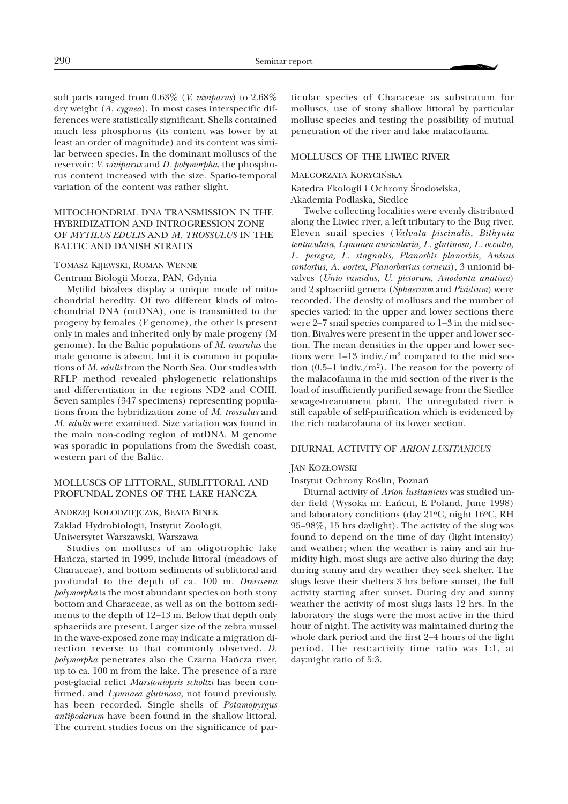soft parts ranged from 0.63% (*V. viviparus*) to 2.68% dry weight (*A. cygnea*). In most cases interspecific differences were statistically significant. Shells contained much less phosphorus (its content was lower by at least an order of magnitude) and its content was similar between species. In the dominant molluscs of the reservoir: *V. viviparus* and *D. polymorpha*, the phosphorus content increased with the size. Spatio-temporal variation of the content was rather slight.

# MITOCHONDRIAL DNA TRANSMISSION IN THE HYBRIDIZATION AND INTROGRESSION ZONE OF *MYTILUS EDULIS* AND *M. TROSSULUS* IN THE BALTIC AND DANISH STRAITS

#### TOMASZ KIJEWSKI, ROMAN WENNE

Centrum Biologii Morza, PAN, Gdynia

Mytilid bivalves display a unique mode of mitochondrial heredity. Of two different kinds of mitochondrial DNA (mtDNA), one is transmitted to the progeny by females (F genome), the other is present only in males and inherited only by male progeny (M genome). In the Baltic populations of *M. trossulus* the male genome is absent, but it is common in populations of *M. edulis* from the North Sea. Our studies with RFLP method revealed phylogenetic relationships and differentiation in the regions ND2 and COIII. Seven samples (347 specimens) representing populations from the hybridization zone of *M. trossulus* and *M. edulis* were examined. Size variation was found in the main non-coding region of mtDNA. M genome was sporadic in populations from the Swedish coast, western part of the Baltic.

#### MOLLUSCS OF LITTORAL, SUBLITTORAL AND PROFUNDAL ZONES OF THE LAKE HAÑCZA

# ANDRZEJ KO£ODZIEJCZYK, BEATA BINEK

Zakład Hydrobiologii, Instytut Zoologii, Uniwersytet Warszawski, Warszawa

Studies on molluscs of an oligotrophic lake Hañcza, started in 1999, include littoral (meadows of Characeae), and bottom sediments of sublittoral and profundalto the depth of ca. 100 m. *Dreissena polymorpha* is the most abundant species on both stony bottom and Characeae, as well as on the bottom sediments to the depth of 12–13 m. Below that depth only sphaeriids are present. Larger size of the zebra mussel in the wave-exposed zone may indicate a migration direction reverse to that commonly observed. *D. polymorpha* penetrates also the Czarna Hañcza river, up to ca. 100 m from the lake. The presence of a rare post-glacial relict *Marstoniopsis scholtzi* has been confirmed, and *Lymnaea glutinosa*, not found previously, has been recorded. Single shells of *Potamopyrgus antipodarum* have been found in the shallow littoral. The current studies focus on the significance of par-

ticular species of Characeae as substratum for molluscs, use of stony shallow littoral by particular mollusc species and testing the possibility of mutual penetration of the river and lake malacofauna.

#### MOLLUSCS OF THE LIWIEC RIVER

#### MA£GORZATA KORYCIÑSKA

Katedra Ekologii i Ochrony Środowiska,

Akademia Podlaska, Siedlce

Twelve collecting localities were evenly distributed along the Liwiec river, a left tributary to the Bug river. Eleven snail species (*Valvata piscinalis, Bithynia tentaculata, Lymnaea auricularia, L. glutinosa, L. occulta, L. peregra, L. stagnalis, Planorbis planorbis, Anisus contortus, A. vortex, Planorbarius corneus*), 3 unionid bivalves (*Unio tumidus, U. pictorum, Anodonta anatina*) and 2 sphaeriid genera (*Sphaerium* and *Pisidium*) were recorded. The density of molluscs and the number of species varied: in the upper and lower sections there were 2-7 snail species compared to 1-3 in the mid section. Bivalves were present in the upper and lower section. The mean densities in the upper and lower sections were  $1-13$  indiv./ $m^2$  compared to the mid section  $(0.5-1 \text{ indiv.}/\text{m}^2)$ . The reason for the poverty of the malacofauna in the mid section of the river is the load of insufficiently purified sewage from the Siedlce sewage-treamtment plant. The unregulated river is still capable of self-purification which is evidenced by the rich malacofauna of its lower section.

#### DIURNAL ACTIVITY OF *ARION LUSITANICUS*

#### JAN KOZ£OWSKI

#### Instytut Ochrony Roślin, Poznań

Diurnal activity of *Arion lusitanicus* was studied under field (Wysoka nr. £añcut, E Poland, June 1998) and laboratory conditions (day  $21^{\circ}$ C, night  $16^{\circ}$ C, RH 95–98%, 15 hrs daylight). The activity of the slug was found to depend on the time of day (light intensity) and weather; when the weather is rainy and air humidity high, most slugs are active also during the day; during sunny and dry weather they seek shelter. The slugs leave their shelters 3 hrs before sunset, the full activity starting after sunset. During dry and sunny weather the activity of most slugs lasts 12 hrs. In the laboratory the slugs were the most active in the third hour of night. The activity was maintained during the whole dark period and the first 2–4 hours of the light period. The rest:activity time ratio was 1:1, at day:night ratio of 5:3.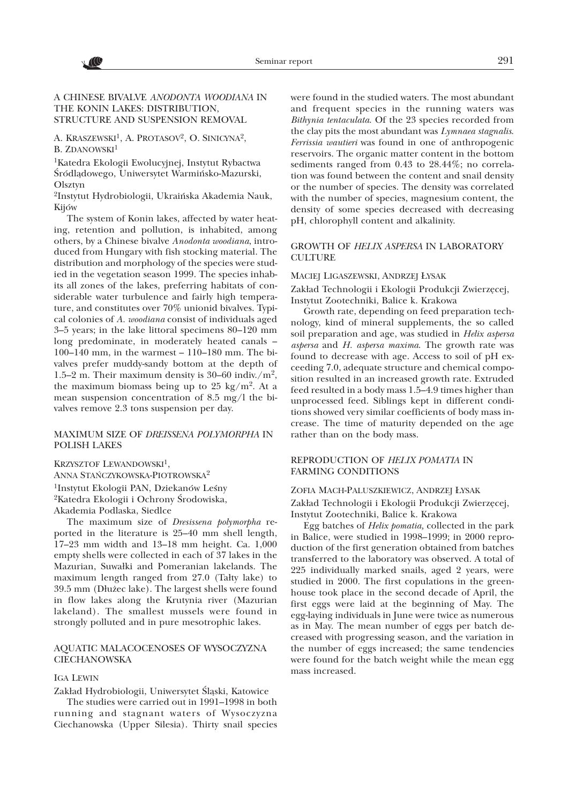**ACC** 

# A CHINESE BIVALVE *ANODONTA WOODIANA* IN THE KONIN LAKES: DISTRIBUTION, STRUCTURE AND SUSPENSION REMOVAL

A. KRASZEWSKI<sup>1</sup>, A. PROTASOV<sup>2</sup>, O. SINICYNA<sup>2</sup>, B. ZDANOWSKI<sup>1</sup>

1Katedra Ekologii Ewolucyjnej, Instytut Rybactwa Śródlądowego, Uniwersytet Warmińsko-Mazurski, Olsztyn

2Instytut Hydrobiologii, Ukraiñska Akademia Nauk, Kijów

The system of Konin lakes, affected by water heating, retention and pollution, is inhabited, among others, by a Chinese bivalve *Anodonta woodiana*, introduced from Hungary with fish stocking material. The distribution and morphology of the species were studied in the vegetation season 1999. The species inhabits all zones of the lakes, preferring habitats of considerable water turbulence and fairly high temperature, and constitutes over 70% unionid bivalves. Typical colonies of *A. woodiana* consist of individuals aged 3–5 years; in the lake littoral specimens 80–120 mm long predominate, in moderately heated canals – 100–140 mm, in the warmest – 110–180 mm. The bivalves prefer muddy-sandy bottom at the depth of 1.5–2 m. Their maximum density is 30–60 indiv./ $m^2$ , the maximum biomass being up to 25 kg/m<sup>2</sup>. At a mean suspension concentration of 8.5 mg/l the bivalves remove 2.3 tons suspension per day.

# MAXIMUM SIZE OF *DREISSENA POLYMORPHA* IN POLISH LAKES

KRZYSZTOF LEWANDOWSKI<sup>1</sup>,

ANNA STAÑCZYKOWSKA-PIOTROWSKA2

<sup>1</sup>Instytut Ekologii PAN, Dziekanów Leśny <sup>2</sup>Katedra Ekologii i Ochrony Środowiska,

Akademia Podlaska, Siedlce

The maximum size of *Dresissena polymorpha* reported in the literature is 25–40 mm shell length, 17–23 mm width and 13–18 mm height. Ca. 1,000 empty shells were collected in each of 37 lakes in the Mazurian, Suwałki and Pomeranian lakelands. The maximum length ranged from  $27.0$  (Talty lake) to 39.5 mm (Dłużec lake). The largest shells were found in flow lakes along the Krutynia river (Mazurian lakeland). The smallest mussels were found in strongly polluted and in pure mesotrophic lakes.

### AQUATIC MALACOCENOSES OF WYSOCZYZNA **CIECHANOWSKA**

#### IGA LEWIN

Zakład Hydrobiologii, Uniwersytet Śląski, Katowice

The studies were carried out in 1991–1998 in both running and stagnant waters of Wysoczyzna Ciechanowska (Upper Silesia). Thirty snail species

were found in the studied waters. The most abundant and frequent species in the running waters was *Bithynia tentaculata*. Of the 23 species recorded from the clay pits the most abundant was *Lymnaea stagnalis*. *Ferrissia wautieri* was found in one of anthropogenic reservoirs. The organic matter content in the bottom sediments ranged from 0.43 to 28.44%; no correlation was found between the content and snail density or the number of species. The density was correlated with the number of species, magnesium content, the density of some species decreased with decreasing pH, chlorophyll content and alkalinity.

### GROWTH OF *HELIX ASPERSA* IN LABORATORY **CULTURE**

#### MACIEJ LIGASZEWSKI, ANDRZEJ £YSAK

Zakład Technologii i Ekologii Produkcji Zwierzęcej, Instytut Zootechniki, Balice k. Krakowa

Growth rate, depending on feed preparation technology, kind of mineral supplements, the so called soil preparation and age, was studied in *Helix aspersa aspersa* and *H. aspersa maxima*. The growth rate was found to decrease with age. Access to soil of pH exceeding 7.0, adequate structure and chemical composition resulted in an increased growth rate. Extruded feed resulted in a body mass 1.5–4.9 times higher than unprocessed feed. Siblings kept in different conditions showed very similar coefficients of body mass increase. The time of maturity depended on the age rather than on the body mass.

# REPRODUCTION OF *HELIX POMATIA* IN FARMING CONDITIONS

ZOFIA MACH-PALUSZKIEWICZ, ANDRZEJ £YSAK Zakład Technologii i Ekologii Produkcji Zwierzęcej, Instytut Zootechniki, Balice k. Krakowa

Egg batches of *Helix pomatia,* collected in the park in Balice, were studied in 1998–1999; in 2000 reproduction of the first generation obtained from batches transferred to the laboratory was observed. A total of 225 individually marked snails, aged 2 years, were studied in 2000. The first copulations in the greenhouse took place in the second decade of April, the first eggs were laid at the beginning of May. The egg-laying individuals in June were twice as numerous as in May. The mean number of eggs per batch decreased with progressing season, and the variation in the number of eggs increased; the same tendencies were found for the batch weight while the mean egg mass increased.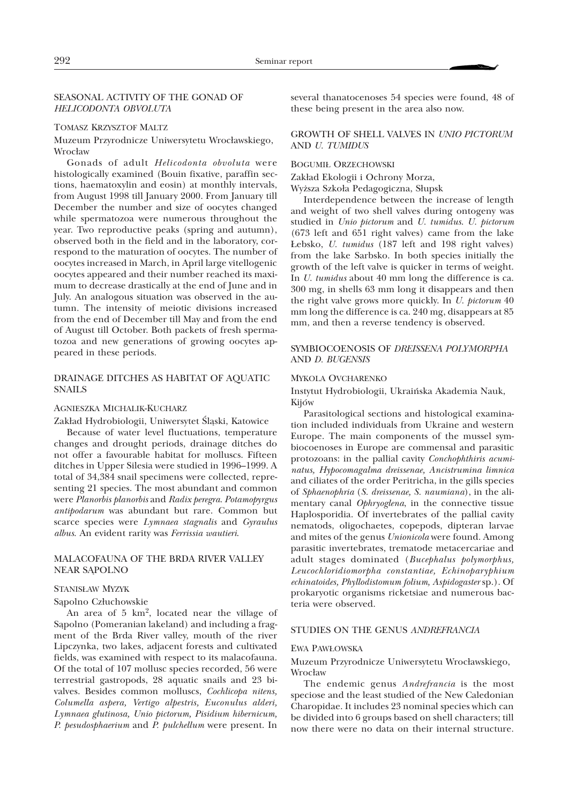### SEASONAL ACTIVITY OF THE GONAD OF *HELICODONTA OBVOLUTA*

#### TOMASZ KRZYSZTOF MALTZ

## Muzeum Przyrodnicze Uniwersytetu Wrocławskiego, Wrocław

Gonads of adult *Helicodonta obvoluta* were histologically examined (Bouin fixative, paraffin sections, haematoxylin and eosin) at monthly intervals, from August 1998 till January 2000. From January till December the number and size of oocytes changed while spermatozoa were numerous throughout the year. Two reproductive peaks (spring and autumn), observed both in the field and in the laboratory, correspond to the maturation of oocytes. The number of oocytes increased in March, in April large vitellogenic oocytes appeared and their number reached its maximum to decrease drastically at the end of June and in July. An analogous situation was observed in the autumn. The intensity of meiotic divisions increased from the end of December till May and from the end of August till October. Both packets of fresh spermatozoa and new generations of growing oocytes appeared in these periods.

### DRAINAGE DITCHES AS HABITAT OF AQUATIC SNAILS

#### AGNIESZKA MICHALIK-KUCHARZ

Zakład Hydrobiologii, Uniwersytet Śląski, Katowice

Because of water level fluctuations, temperature changes and drought periods, drainage ditches do not offer a favourable habitat for molluscs. Fifteen ditches in Upper Silesia were studied in 1996–1999. A total of 34,384 snail specimens were collected, representing 21 species. The most abundant and common were *Planorbis planorbis* and *Radix peregra*. *Potamopyrgus antipodarum* was abundant but rare. Common but scarce species were *Lymnaea stagnalis* and *Gyraulus albus*. An evident rarity was *Ferrissia wautieri*.

### MALACOFAUNA OF THE BRDA RIVER VALLEY NEAR SAPOLNO

### STANIS£AW MYZYK

Sapolno Człuchowskie

An area of 5 km2, located near the village of Sapolno (Pomeranian lakeland) and including a fragment of the Brda River valley, mouth of the river Lipczynka, two lakes, adjacent forests and cultivated fields, was examined with respect to its malacofauna. Of the total of 107 mollusc species recorded, 56 were terrestrialgastropods, 28 aquatic snails and 23 bivalves. Besides common molluscs, *Cochlicopa nitens, Columella aspera, Vertigo alpestris, Euconulus alderi, Lymnaea glutinosa, Unio pictorum, Pisidium hibernicum, P. pesudosphaerium* and *P. pulchellum* were present. In

several thanatocenoses 54 species were found, 48 of these being present in the area also now.

# GROWTH OF SHELL VALVES IN *UNIO PICTORUM* AND *U. TUMIDUS*

#### BOGUMI£ ORZECHOWSKI

Zakład Ekologii i Ochrony Morza,

Wyższa Szkoła Pedagogiczna, Słupsk

Interdependence between the increase of length and weight of two shell valves during ontogeny was studied in *Unio pictorum* and *U. tumidus*. *U. pictorum* (673 left and 651 right valves) came from the lake £ebsko, *U. tumidus* (187 left and 198 right valves) from the lake Sarbsko. In both species initially the growth of the left valve is quicker in terms of weight. In *U. tumidus* about 40 mm long the difference is ca. 300 mg, in shells 63 mm long it disappears and then the right valve grows more quickly. In *U. pictorum* 40 mm long the difference is ca. 240 mg, disappears at 85 mm, and then a reverse tendency is observed.

### SYMBIOCOENOSIS OF *DREISSENA POLYMORPHA* AND *D. BUGENSIS*

#### MYKOLA OVCHARENKO

Instytut Hydrobiologii, Ukraiñska Akademia Nauk, Kijów

Parasitological sections and histological examination included individuals from Ukraine and western Europe. The main components of the mussel symbiocoenoses in Europe are commensal and parasitic protozoans: in the pallial cavity *Conchophthiris acuminatus, Hypocomagalma dreissenae, Ancistrumina limnica* and ciliates of the order Peritricha, in the gills species of *Sphaenophria* (*S. dreissenae, S. naumiana*), in the alimentary canal *Ophryoglena*, in the connective tissue Haplosporidia. Of invertebrates of the pallial cavity nematods, oligochaetes, copepods, dipteran larvae and mites of the genus *Unionicola* were found. Among parasitic invertebrates, trematode metacercariae and adult stages dominated (*Bucephalus polymorphus, Leucochloridiomorpha constantiae, Echinoparyphium echinatoides, Phyllodistomum folium, Aspidogaster* sp.). Of prokaryotic organisms ricketsiae and numerous bacteria were observed.

#### STUDIES ON THE GENUS *ANDREFRANCIA*

#### EWA PAW£OWSKA

Muzeum Przyrodnicze Uniwersytetu Wrocławskiego, Wrocław

The endemic genus *Andrefrancia* is the most speciose and the least studied of the New Caledonian Charopidae. It includes 23 nominal species which can be divided into 6 groups based on shell characters; till now there were no data on their internal structure.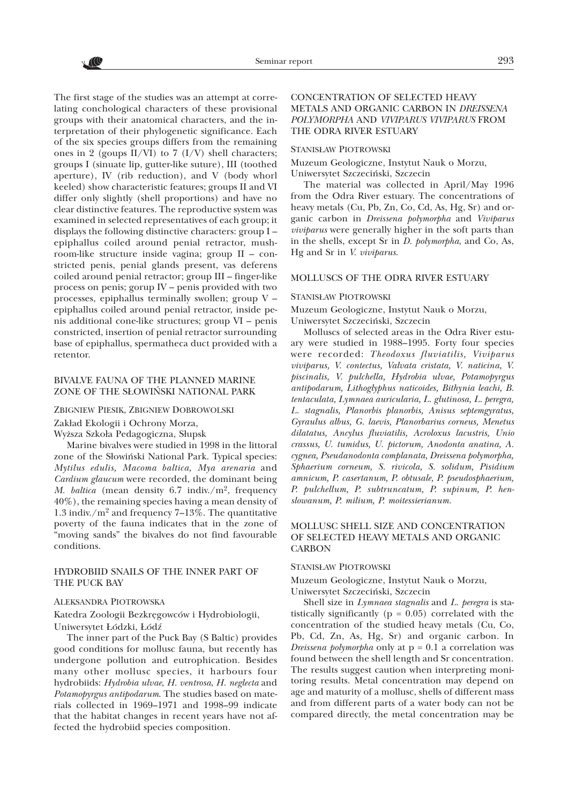The first stage of the studies was an attempt at correlating conchological characters of these provisional groups with their anatomical characters, and the interpretation of their phylogenetic significance. Each of the six species groups differs from the remaining ones in 2 (goups  $II/VI$ ) to 7 (I/V) shell characters; groups I (sinuate lip, gutter-like suture), III (toothed aperture), IV (rib reduction), and V (body whorl keeled) show characteristic features; groups II and VI differ only slightly (shell proportions) and have no clear distinctive features. The reproductive system was examined in selected representatives of each group; it displays the following distinctive characters: group I – epiphallus coiled around penial retractor, mushroom-like structure inside vagina; group II – constricted penis, penial glands present, vas deferens coiled around penial retractor; group III – finger-like process on penis; gorup IV – penis provided with two processes, epiphallus terminally swollen; group V – epiphallus coiled around penial retractor, inside penis additional cone-like structures; group  $VI$  – penis constricted, insertion of penial retractor surrounding base of epiphallus, spermatheca duct provided with a retentor.

## BIVALVE FAUNA OF THE PLANNED MARINE ZONE OF THE S£OWIÑSKI NATIONAL PARK

ZBIGNIEW PIESIK, ZBIGNIEW DOBROWOLSKI

Zakład Ekologii i Ochrony Morza,

Wyższa Szkoła Pedagogiczna, Słupsk

Marine bivalves were studied in 1998 in the littoral zone of the Słowiński National Park. Typical species: *Mytilus edulis, Macoma baltica, Mya arenaria* and *Cardium glaucum* were recorded, the dominant being *M. baltica* (mean density  $6.7$  indiv./m<sup>2</sup>, frequency 40%), the remaining species having a mean density of 1.3 indiv./ $m^2$  and frequency 7–13%. The quantitative poverty of the fauna indicates that in the zone of "moving sands" the bivalves do not find favourable conditions.

# HYDROBIID SNAILS OF THE INNER PART OF THE PUCK BAY

### ALEKSANDRA PIOTROWSKA

Katedra Zoologii Bezkrêgowców i Hydrobiologii, Uniwersytet £ódzki, £ódz

The inner part of the Puck Bay (S Baltic) provides good conditions for mollusc fauna, but recently has undergone pollution and eutrophication. Besides many other mollusc species, it harbours four hydrobiids: *Hydrobia ulvae*, *H. ventrosa*, *H. neglecta* and *Potamopyrgus antipodarum*. The studies based on materials collected in 1969–1971 and 1998–99 indicate that the habitat changes in recent years have not affected the hydrobiid species composition.

### CONCENTRATION OF SELECTED HEAVY METALS AND ORGANIC CARBON IN *DREISSENA POLYMORPHA* AND *VIVIPARUS VIVIPARUS* FROM THE ODRA RIVER ESTUARY

### STANIS£AW PIOTROWSKI

Muzeum Geologiczne, Instytut Nauk o Morzu, Uniwersytet Szczeciñski, Szczecin

The material was collected in April/May 1996 from the Odra River estuary. The concentrations of heavy metals (Cu, Pb, Zn, Co, Cd, As, Hg, Sr) and organic carbon in *Dreissena polymorpha* and *Viviparus viviparus* were generally higher in the soft parts than in the shells, except Sr in *D. polymorpha*, and Co, As, Hg and Sr in *V. viviparus*.

#### MOLLUSCS OF THE ODRA RIVER ESTUARY

### STANIS£AW PIOTROWSKI

Muzeum Geologiczne, Instytut Nauk o Morzu, Uniwersytet Szczeciñski, Szczecin

Molluscs of selected areas in the Odra River estuary were studied in 1988–1995. Forty four species were recorded: *Theodoxus fluviatilis, Viviparus viviparus, V. contectus, Valvata cristata, V. naticina, V. piscinalis, V. pulchella, Hydrobia ulvae, Potamopyrgus antipodarum, Lithoglyphus naticoides, Bithynia leachi, B. tentaculata, Lymnaea auricularia, L. glutinosa, L. peregra, L. stagnalis, Planorbis planorbis, Anisus septemgyratus, Gyraulus albus, G. laevis, Planorbarius corneus, Menetus dilatatus, Ancylus fluviatilis, Acroloxus lacustris, Unio crassus, U. tumidus, U. pictorum, Anodonta anatina, A. cygnea, Pseudanodonta complanata, Dreissena polymorpha, Sphaerium corneum, S. rivicola, S. solidum, Pisidium amnicum, P. casertanum, P. obtusale, P. pseudosphaerium, P. pulchellum, P. subtruncatum, P. supinum, P. henslowanum, P. milium, P. moitessierianum.*

### MOLLUSC SHELL SIZE AND CONCENTRATION OF SELECTED HEAVY METALS AND ORGANIC **CARBON**

#### STANIS£AW PIOTROWSKI

Muzeum Geologiczne, Instytut Nauk o Morzu, Uniwersytet Szczeciñski, Szczecin

Shell size in *Lymnaea stagnalis* and *L. peregra* is statistically significantly ( $p = 0.05$ ) correlated with the concentration of the studied heavy metals (Cu, Co, Pb, Cd, Zn, As, Hg, Sr) and organic carbon. In *Dreissena polymorpha* only at  $p = 0.1$  a correlation was found between the shell length and Sr concentration. The results suggest caution when interpreting monitoring results. Metal concentration may depend on age and maturity of a mollusc, shells of different mass and from different parts of a water body can not be compared directly, the metal concentration may be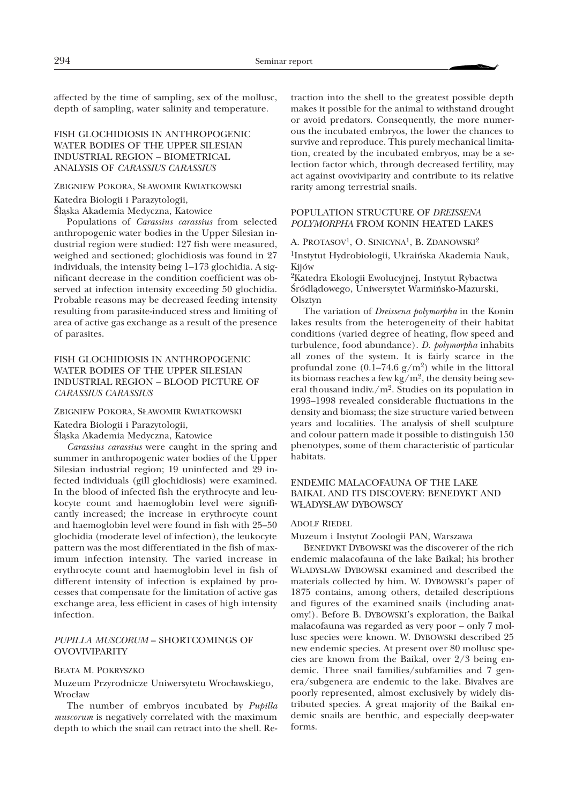affected by the time of sampling, sex of the mollusc, depth of sampling, water salinity and temperature.

# FISH GLOCHIDIOSIS IN ANTHROPOGENIC WATER BODIES OF THE UPPER SILESIAN INDUSTRIAL REGION – BIOMETRICAL ANALYSIS OF *CARASSIUS CARASSIUS*

#### ZBIGNIEW POKORA, S£AWOMIR KWIATKOWSKI

Katedra Biologii i Parazytologii,

Sląska Akademia Medyczna, Katowice

Populations of *Carassius carassius* from selected anthropogenic water bodies in the Upper Silesian industrial region were studied: 127 fish were measured, weighed and sectioned; glochidiosis was found in 27 individuals, the intensity being 1–173 glochidia. A significant decrease in the condition coefficient was observed at infection intensity exceeding 50 glochidia. Probable reasons may be decreased feeding intensity resulting from parasite-induced stress and limiting of area of active gas exchange as a result of the presence of parasites.

# FISH GLOCHIDIOSIS IN ANTHROPOGENIC WATER BODIES OF THE UPPER SILESIAN INDUSTRIAL REGION – BLOOD PICTURE OF *CARASSIUS CARASSIUS*

ZBIGNIEW POKORA, S£AWOMIR KWIATKOWSKI

Katedra Biologii i Parazytologii,

Śląska Akademia Medyczna, Katowice

*Carassius carassius* were caught in the spring and summer in anthropogenic water bodies of the Upper Silesian industrial region; 19 uninfected and 29 infected individuals (gill glochidiosis) were examined. In the blood of infected fish the erythrocyte and leukocyte count and haemoglobin level were significantly increased; the increase in erythrocyte count and haemoglobin level were found in fish with 25–50 glochidia (moderate level of infection), the leukocyte pattern was the most differentiated in the fish of maximum infection intensity. The varied increase in erythrocyte count and haemoglobin level in fish of different intensity of infection is explained by processes that compensate for the limitation of active gas exchange area, less efficient in cases of high intensity infection.

### *PUPILLA MUSCORUM* – SHORTCOMINGS OF **OVOVIVIPARITY**

#### BEATA M. POKRYSZKO

Muzeum Przyrodnicze Uniwersytetu Wrocławskiego, Wrocław

The number of embryos incubated by *Pupilla muscorum* is negatively correlated with the maximum depth to which the snail can retract into the shell. Re-

traction into the shell to the greatest possible depth makes it possible for the animal to withstand drought or avoid predators. Consequently, the more numerous the incubated embryos, the lower the chances to survive and reproduce. This purely mechanical limitation, created by the incubated embryos, may be a selection factor which, through decreased fertility, may act against ovoviviparity and contribute to its relative rarity among terrestrial snails.

# POPULATION STRUCTURE OF *DREISSENA POLYMORPHA* FROM KONIN HEATED LAKES

A. PROTASOV<sup>1</sup>, O. SINICYNA<sup>1</sup>, B. ZDANOWSKI<sup>2</sup> 1Instytut Hydrobiologii, Ukraiñska Akademia Nauk, Kijów

2Katedra Ekologii Ewolucyjnej, Instytut Rybactwa Śródlądowego, Uniwersytet Warmińsko-Mazurski, Olsztyn

The variation of *Dreissena polymorpha* in the Konin lakes results from the heterogeneity of their habitat conditions (varied degree of heating, flow speed and turbulence, food abundance). *D. polymorpha* inhabits all zones of the system. It is fairly scarce in the profundal zone  $(0.1–74.6 \text{ g/m}^2)$  while in the littoral its biomass reaches a few kg/m<sup>2</sup>, the density being several thousand indiv./ $m^2$ . Studies on its population in 1993–1998 revealed considerable fluctuations in the density and biomass; the size structure varied between years and localities. The analysis of shell sculpture and colour pattern made it possible to distinguish 150 phenotypes, some of them characteristic of particular habitats.

# ENDEMIC MALACOFAUNA OF THE LAKE BAIKAL AND ITS DISCOVERY: BENEDYKT AND W£ADYS£AW DYBOWSCY

#### ADOLF RIEDEL

Muzeum i Instytut Zoologii PAN, Warszawa

BENEDYKT DYBOWSKI was the discoverer of the rich endemic malacofauna of the lake Baikal; his brother W£ADYS£AW DYBOWSKI examined and described the materials collected by him. W. DYBOWSKI's paper of 1875 contains, among others, detailed descriptions and figures of the examined snails (including anatomy!). Before B. DYBOWSKI's exploration, the Baikal malacofauna was regarded as very poor – only 7 mollusc species were known. W. DYBOWSKI described 25 new endemic species. At present over 80 mollusc species are known from the Baikal, over 2/3 being endemic. Three snail families/subfamilies and 7 genera/subgenera are endemic to the lake. Bivalves are poorly represented, almost exclusively by widely distributed species. A great majority of the Baikal endemic snails are benthic, and especially deep-water forms.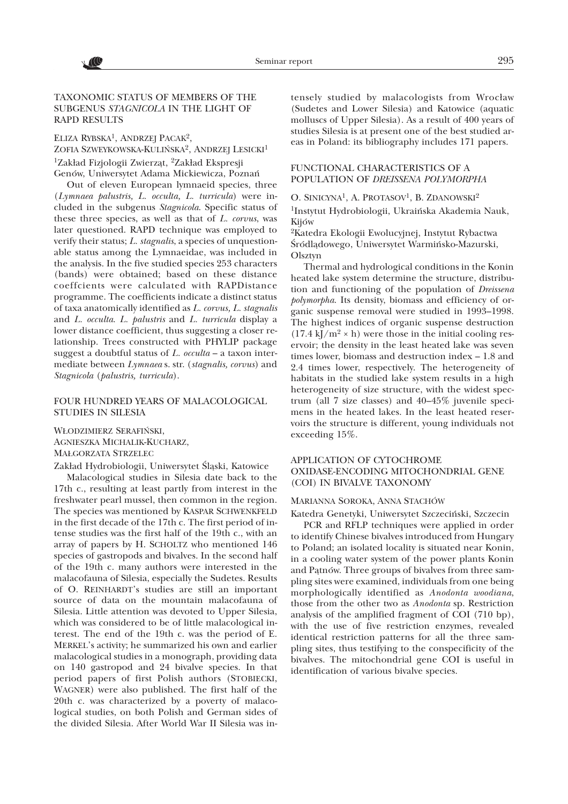

# TAXONOMIC STATUS OF MEMBERS OF THE SUBGENUS *STAGNICOLA* IN THE LIGHT OF RAPD RESULTS

#### ELIZA RYBSKA<sup>1</sup>, ANDRZEJ PACAK<sup>2</sup>,

ZOFIA SZWEYKOWSKA-KULIŃSKA<sup>2</sup>, ANDRZEJ LESICKI<sup>1</sup> <sup>1</sup>Zakład Fizjologii Zwierząt, <sup>2</sup>Zakład Ekspresji Genów, Uniwersytet Adama Mickiewicza, Poznañ

Out of eleven European lymnaeid species, three (*Lymnaea palustris, L. occulta, L. turricula*) were included in the subgenus *Stagnicola*. Specific status of these three species, as well as that of *L. corvus*, was later questioned. RAPD technique was employed to verify their status; *L. stagnalis*, a species of unquestionable status among the Lymnaeidae, was included in the analysis. In the five studied species 253 characters (bands) were obtained; based on these distance coeffcients were calculated with RAPDistance programme. The coefficients indicate a distinct status of taxa anatomically identified as *L. corvus, L. stagnalis* and *L. occulta*. *L. palustris* and *L. turricula* display a lower distance coefficient, thus suggesting a closer relationship. Trees constructed with PHYLIP package suggest a doubtful status of *L. occulta* – a taxon intermediate between *Lymnaea* s. str. (*stagnalis, corvus*) and *Stagnicola* (*palustris, turricula*).

### FOUR HUNDRED YEARS OF MALACOLOGICAL STUDIES IN SILESIA

W£ODZIMIERZ SERAFIÑSKI, AGNIESZKA MICHALIK-KUCHARZ, MA£GORZATA STRZELEC

Zakład Hydrobiologii, Uniwersytet Śląski, Katowice

Malacological studies in Silesia date back to the 17th c., resulting at least partly from interest in the freshwater pearl mussel, then common in the region. The species was mentioned by KASPAR SCHWENKFELD in the first decade of the 17th c. The first period of intense studies was the first half of the 19th c., with an array of papers by H. SCHOLTZ who mentioned 146 species of gastropods and bivalves. In the second half of the 19th c. many authors were interested in the malacofauna of Silesia, especially the Sudetes. Results of O. REINHARDT's studies are still an important source of data on the mountain malacofauna of Silesia. Little attention was devoted to Upper Silesia, which was considered to be of little malacological interest. The end of the 19th c. was the period of E. MERKEL's activity; he summarized his own and earlier malacological studies in a monograph, providing data on 140 gastropod and 24 bivalve species. In that period papers of first Polish authors (STOBIECKI, WAGNER) were also published. The first half of the 20th c. was characterized by a poverty of malacological studies, on both Polish and German sides of the divided Silesia. After World War II Silesia was in-

tensely studied by malacologists from Wrocław (Sudetes and Lower Silesia) and Katowice (aquatic molluscs of Upper Silesia). As a result of 400 years of studies Silesia is at present one of the best studied areas in Poland: its bibliography includes 171 papers.

# FUNCTIONAL CHARACTERISTICS OF A POPULATION OF *DREISSENA POLYMORPHA*

O. SINICYNA<sup>1</sup>, A. PROTASOV<sup>1</sup>, B. ZDANOWSKI<sup>2</sup>

1Instytut Hydrobiologii, Ukraiñska Akademia Nauk, Kijów

2Katedra Ekologii Ewolucyjnej, Instytut Rybactwa Śródlądowego, Uniwersytet Warmińsko-Mazurski, Olsztyn

Thermal and hydrological conditions in the Konin heated lake system determine the structure, distribution and functioning of the population of *Dreissena polymorpha*. Its density, biomass and efficiency of organic suspense removal were studied in 1993-1998. The highest indices of organic suspense destruction  $(17.4 \text{ kJ/m}^2 \times \text{h})$  were those in the initial cooling reservoir; the density in the least heated lake was seven times lower, biomass and destruction index – 1.8 and 2.4 times lower, respectively. The heterogeneity of habitats in the studied lake system results in a high heterogeneity of size structure, with the widest spectrum (all 7 size classes) and 40–45% juvenile specimens in the heated lakes. In the least heated reservoirs the structure is different, young individuals not exceeding 15%.

### APPLICATION OF CYTOCHROME OXIDASE-ENCODING MITOCHONDRIAL GENE (COI) IN BIVALVE TAXONOMY

#### MARIANNA SOROKA, ANNA STACHÓW

Katedra Genetyki, Uniwersytet Szczeciñski, Szczecin

PCR and RFLP techniques were applied in order to identify Chinese bivalves introduced from Hungary to Poland; an isolated locality is situated near Konin, in a cooling water system of the power plants Konin and Patnów. Three groups of bivalves from three sampling sites were examined, individuals from one being morphologically identified as *Anodonta woodiana*, those from the other two as *Anodonta* sp. Restriction analysis of the amplified fragment of COI (710 bp), with the use of five restriction enzymes, revealed identical restriction patterns for all the three sampling sites, thus testifying to the conspecificity of the bivalves. The mitochondrial gene COI is useful in identification of various bivalve species.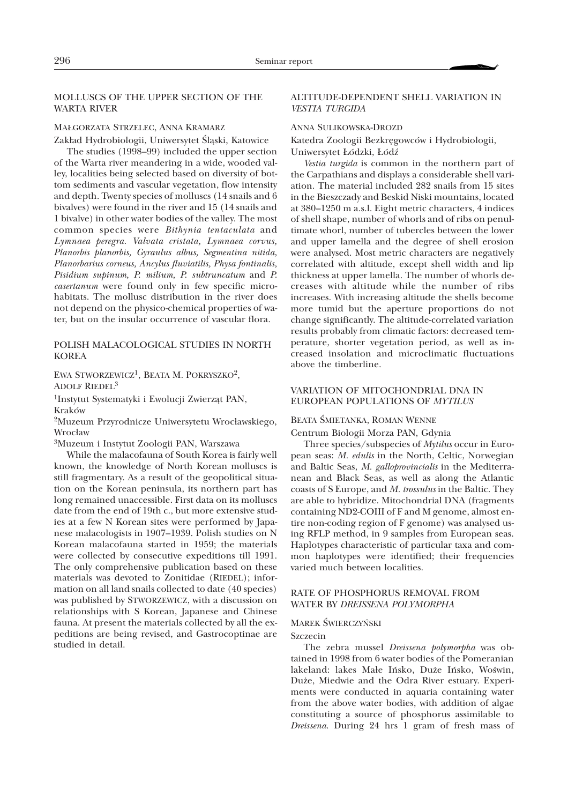# MOLLUSCS OF THE UPPER SECTION OF THE WARTA RIVER

#### MA£GORZATA STRZELEC, ANNA KRAMARZ

Zakład Hydrobiologii, Uniwersytet Śląski, Katowice

The studies (1998–99) included the upper section of the Warta river meandering in a wide, wooded valley, localities being selected based on diversity of bottom sediments and vascular vegetation, flow intensity and depth. Twenty species of molluscs (14 snails and 6 bivalves) were found in the river and 15 (14 snails and 1 bivalve) in other water bodies of the valley. The most common species were *Bithynia tentaculata* and *Lymnaea peregra*. *Valvata cristata, Lymnaea corvus, Planorbis planorbis, Gyraulus albus, Segmentina nitida, Planorbarius corneus, Ancylus fluviatilis, Physa fontinalis, Pisidium supinum, P. milium, P. subtruncatum* and *P. casertanum* were found only in few specific microhabitats. The mollusc distribution in the river does not depend on the physico-chemical properties of water, but on the insular occurrence of vascular flora.

### POLISH MALACOLOGICAL STUDIES IN NORTH KOREA

EWA STWORZEWICZ<sup>1</sup>, BEATA M. POKRYSZKO<sup>2</sup>, ADOLF RIEDEL3

<sup>1</sup>Instytut Systematyki i Ewolucji Zwierząt PAN, Kraków

<sup>2</sup>Muzeum Przyrodnicze Uniwersytetu Wrocławskiego, Wrocław

3Muzeum i Instytut Zoologii PAN, Warszawa

While the malacofauna of South Korea is fairly well known, the knowledge of North Korean molluscs is still fragmentary. As a result of the geopolitical situation on the Korean peninsula, its northern part has long remained unaccessible. First data on its molluscs date from the end of 19th c., but more extensive studies at a few N Korean sites were performed by Japanese malacologists in 1907–1939. Polish studies on N Korean malacofauna started in 1959; the materials were collected by consecutive expeditions till 1991. The only comprehensive publication based on these materials was devoted to Zonitidae (RIEDEL); information on all land snails collected to date (40 species) was published by STWORZEWICZ, with a discussion on relationships with S Korean, Japanese and Chinese fauna. At present the materials collected by all the expeditions are being revised, and Gastrocoptinae are studied in detail.

### ALTITUDE-DEPENDENT SHELL VARIATION IN *VESTIA TURGIDA*

#### ANNA SULIKOWSKA-DROZD

Katedra Zoologii Bezkrêgowców i Hydrobiologii, Uniwersytet £ódzki, £ódz

*Vestia turgida* is common in the northern part of the Carpathians and displays a considerable shell variation. The material included 282 snails from 15 sites in the Bieszczady and Beskid Niski mountains, located at 380–1250 m a.s.l. Eight metric characters, 4 indices of shell shape, number of whorls and of ribs on penultimate whorl, number of tubercles between the lower and upper lamella and the degree of shell erosion were analysed. Most metric characters are negatively correlated with altitude, except shell width and lip thickness at upper lamella. The number of whorls decreases with altitude while the number of ribs increases. With increasing altitude the shells become more tumid but the aperture proportions do not change significantly. The altitude-correlated variation results probably from climatic factors: decreased temperature, shorter vegetation period, as well as increased insolation and microclimatic fluctuations above the timberline.

### VARIATION OF MITOCHONDRIAL DNA IN EUROPEAN POPULATIONS OF *MYTILUS*

#### BEATA ŚMIETANKA, ROMAN WENNE

Centrum Biologii Morza PAN, Gdynia

Three species/subspecies of *Mytilus* occur in European seas: *M. edulis* in the North, Celtic, Norwegian and Baltic Seas, *M. galloprovincialis* in the Mediterranean and Black Seas, as well as along the Atlantic coasts of S Europe, and *M. trossulus* in the Baltic. They are able to hybridize. Mitochondrial DNA (fragments containing ND2-COIII of F and M genome, almost entire non-coding region of F genome) was analysed using RFLP method, in 9 samples from European seas. Haplotypes characteristic of particular taxa and common haplotypes were identified; their frequencies varied much between localities.

### RATE OF PHOSPHORUS REMOVAL FROM WATER BY *DREISSENA POLYMORPHA*

#### **MAREK ŚWIERCZYŃSKI**

#### Szczecin

The zebra mussel *Dreissena polymorpha* was obtained in 1998 from 6 water bodies of the Pomeranian lakeland: lakes Małe Ińsko, Duże Ińsko, Woświn, Duże, Miedwie and the Odra River estuary. Experiments were conducted in aquaria containing water from the above water bodies, with addition of algae constituting a source of phosphorus assimilable to *Dreissena*. During 24 hrs 1 gram of fresh mass of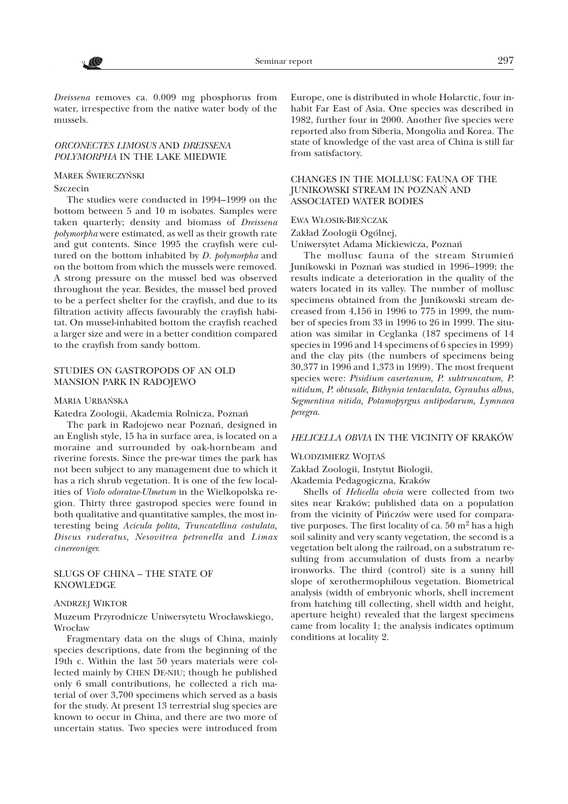

*Dreissena* removes ca. 0.009 mg phosphorus from water, irrespective from the native water body of the mussels.

#### *ORCONECTES LIMOSUS* AND *DREISSENA POLYMORPHA* IN THE LAKE MIEDWIE

#### MAREK ŚWIERCZYŃSKI

#### Szczecin

The studies were conducted in 1994–1999 on the bottom between 5 and 10 m isobates. Samples were taken quarterly; density and biomass of *Dreissena polymorpha* were estimated, as well as their growth rate and gut contents. Since 1995 the crayfish were cultured on the bottom inhabited by *D. polymorpha* and on the bottom from which the mussels were removed. A strong pressure on the mussel bed was observed throughout the year. Besides, the mussel bed proved to be a perfect shelter for the crayfish, and due to its filtration activity affects favourably the crayfish habitat. On mussel-inhabited bottom the crayfish reached a larger size and were in a better condition compared to the crayfish from sandy bottom.

# STUDIES ON GASTROPODS OF AN OLD MANSION PARK IN RADOJEWO

#### MARIA URBAÑSKA

Katedra Zoologii, Akademia Rolnicza, Poznañ

The park in Radojewo near Poznañ, designed in an English style, 15 ha in surface area, is located on a moraine and surrounded by oak-hornbeam and riverine forests. Since the pre-war times the park has not been subject to any management due to which it has a rich shrub vegetation. It is one of the few localities of *Violo odoratae-Ulmetum* in the Wielkopolska region. Thirty three gastropod species were found in both qualitative and quantitative samples, the most interesting being *Acicula polita, Truncatellina costulata, Discus ruderatus, Nesovitrea petronella* and *Limax cinereoniger*.

### SLUGS OF CHINA – THE STATE OF KNOWLEDGE

#### ANDRZEJ WIKTOR

#### Muzeum Przyrodnicze Uniwersytetu Wrocławskiego, Wrocław

Fragmentary data on the slugs of China, mainly species descriptions, date from the beginning of the 19th c. Within the last 50 years materials were collected mainly by CHEN DE-NIU; though he published only 6 small contributions, he collected a rich material of over 3,700 specimens which served as a basis for the study. At present 13 terrestrial slug species are known to occur in China, and there are two more of uncertain status. Two species were introduced from

Europe, one is distributed in whole Holarctic, four inhabit Far East of Asia. One species was described in 1982, further four in 2000. Another five species were reported also from Siberia, Mongolia and Korea. The state of knowledge of the vast area of China is still far from satisfactory.

### CHANGES IN THE MOLLUSC FAUNA OF THE JUNIKOWSKI STREAM IN POZNAÑ AND ASSOCIATED WATER BODIES

#### EWA W£OSIK-BIEÑCZAK

#### Zakład Zoologii Ogólnej,

Uniwersytet Adama Mickiewicza, Poznañ

The mollusc fauna of the stream Strumieñ Junikowski in Poznañ was studied in 1996–1999; the results indicate a deterioration in the quality of the waters located in its valley. The number of mollusc specimens obtained from the Junikowski stream decreased from 4,156 in 1996 to 775 in 1999, the number of species from 33 in 1996 to 26 in 1999. The situation was similar in Ceglanka (187 specimens of 14 species in 1996 and 14 specimens of 6 species in 1999) and the clay pits (the numbers of specimens being 30,377 in 1996 and 1,373 in 1999). The most frequent species were: *Pisidium casertanum, P. subtruncatum, P. nitidum, P. obtusale, Bithynia tentaculata, Gyraulus albus, Segmentina nitida, Potamopyrgus antipodarum, Lymnaea peregra*.

### *HELICELLA OBVIA* IN THE VICINITY OF KRAKÓW

#### WŁODZIMIERZ WOJTAŚ

Zakład Zoologii, Instytut Biologii,

Akademia Pedagogiczna, Kraków

Shells of *Helicella obvia* were collected from two sites near Kraków; published data on a population from the vicinity of Piñczów were used for comparative purposes. The first locality of ca.  $50 \text{ m}^2$  has a high soil salinity and very scanty vegetation, the second is a vegetation belt along the railroad, on a substratum resulting from accumulation of dusts from a nearby ironworks. The third (control) site is a sunny hill slope of xerothermophilous vegetation. Biometrical analysis (width of embryonic whorls, shell increment from hatching till collecting, shell width and height, aperture height) revealed that the largest specimens came from locality 1; the analysis indicates optimum conditions at locality 2.